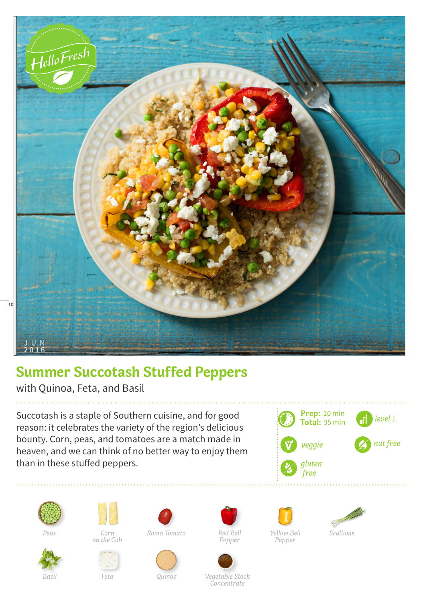

## **Summer Succotash Stuffed Peppers**

with Quinoa, Feta, and Basil

Succotash is a staple of Southern cuisine, and for good reason: it celebrates the variety of the region's delicious bounty. Corn, peas, and tomatoes are a match made in heaven, and we can think of no better way to enjoy them than in these stuffed peppers.







*on the Cob*



*Feta*



*Pepper*

![](_page_0_Picture_14.jpeg)

![](_page_0_Picture_15.jpeg)

![](_page_0_Picture_16.jpeg)

![](_page_0_Picture_17.jpeg)

*Basil Quinoa Vegetable Stock Concentrate*